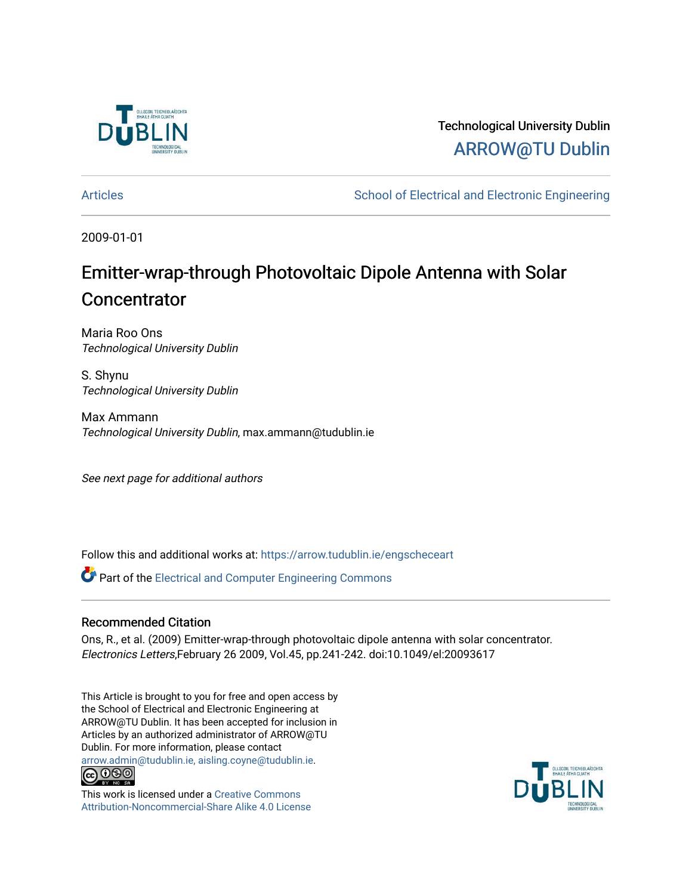

## Technological University Dublin [ARROW@TU Dublin](https://arrow.tudublin.ie/)

[Articles](https://arrow.tudublin.ie/engscheceart) **School of Electrical and Electronic Engineering** School of Electronic Engineering

2009-01-01

# Emitter-wrap-through Photovoltaic Dipole Antenna with Solar **Concentrator**

Maria Roo Ons Technological University Dublin

S. Shynu Technological University Dublin

Max Ammann Technological University Dublin, max.ammann@tudublin.ie

See next page for additional authors

Follow this and additional works at: [https://arrow.tudublin.ie/engscheceart](https://arrow.tudublin.ie/engscheceart?utm_source=arrow.tudublin.ie%2Fengscheceart%2F28&utm_medium=PDF&utm_campaign=PDFCoverPages)

**P** Part of the Electrical and Computer Engineering Commons

## Recommended Citation

Ons, R., et al. (2009) Emitter-wrap-through photovoltaic dipole antenna with solar concentrator. Electronics Letters,February 26 2009, Vol.45, pp.241-242. doi:10.1049/el:20093617

This Article is brought to you for free and open access by the School of Electrical and Electronic Engineering at ARROW@TU Dublin. It has been accepted for inclusion in Articles by an authorized administrator of ARROW@TU Dublin. For more information, please contact [arrow.admin@tudublin.ie, aisling.coyne@tudublin.ie](mailto:arrow.admin@tudublin.ie,%20aisling.coyne@tudublin.ie).<br>
co 000



This work is licensed under a [Creative Commons](http://creativecommons.org/licenses/by-nc-sa/4.0/) [Attribution-Noncommercial-Share Alike 4.0 License](http://creativecommons.org/licenses/by-nc-sa/4.0/)

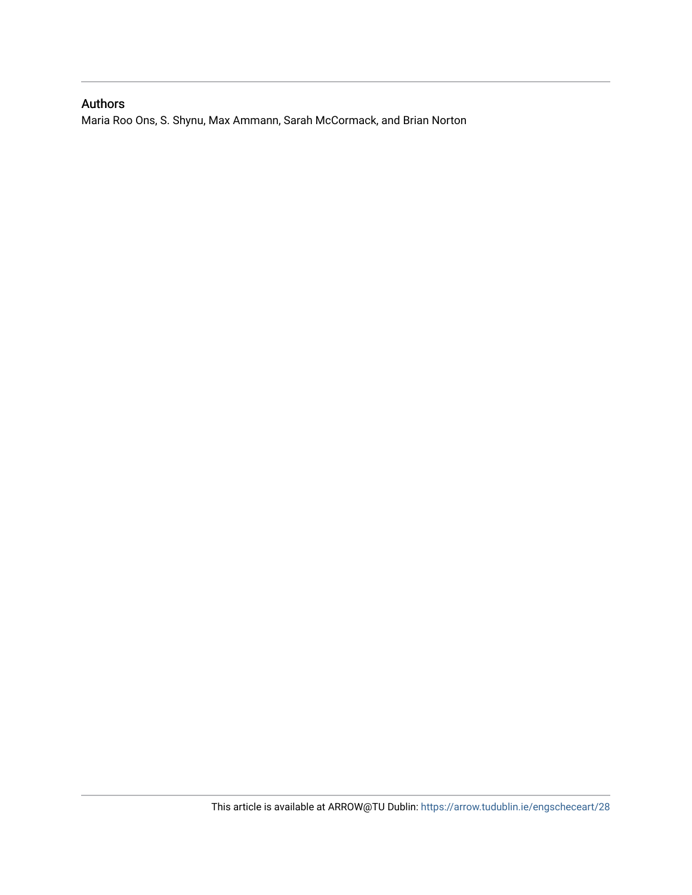## Authors

Maria Roo Ons, S. Shynu, Max Ammann, Sarah McCormack, and Brian Norton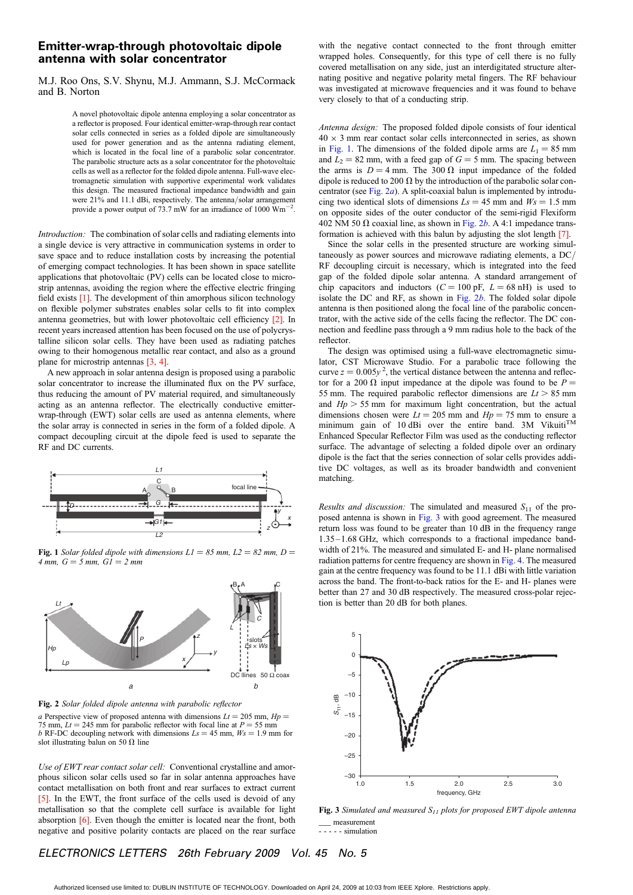#### Emitter-wrap-through photovoltaic dipole antenna with solar concentrator

M.J. Roo Ons, S.V. Shynu, M.J. Ammann, S.J. McCormack and B. Norton

> A novel photovoltaic dipole antenna employing a solar concentrator as a reflector is proposed. Four identical emitter-wrap-through rear contact solar cells connected in series as a folded dipole are simultaneously used for power generation and as the antenna radiating element, which is located in the focal line of a parabolic solar concentrator. The parabolic structure acts as a solar concentrator for the photovoltaic cells as well as a reflector for the folded dipole antenna. Full-wave electromagnetic simulation with supportive experimental work validates this design. The measured fractional impedance bandwidth and gain were 21% and 11.1 dBi, respectively. The antenna/solar arrangement provide a power output of 73.7 mW for an irradiance of 1000  $\text{Wm}^{-2}$ .

Introduction: The combination of solar cells and radiating elements into a single device is very attractive in communication systems in order to save space and to reduce installation costs by increasing the potential of emerging compact technologies. It has been shown in space satellite applications that photovoltaic (PV) cells can be located close to microstrip antennas, avoiding the region where the effective electric fringing field exists [1]. The development of thin amorphous silicon technology on flexible polymer substrates enables solar cells to fit into complex antenna geometries, but with lower photovoltaic cell efficiency [2]. In recent years increased attention has been focused on the use of polycrystalline silicon solar cells. They have been used as radiating patches owing to their homogenous metallic rear contact, and also as a ground plane for microstrip antennas [3, 4].

A new approach in solar antenna design is proposed using a parabolic solar concentrator to increase the illuminated flux on the PV surface, thus reducing the amount of PV material required, and simultaneously acting as an antenna reflector. The electrically conductive emitterwrap-through (EWT) solar cells are used as antenna elements, where the solar array is connected in series in the form of a folded dipole. A compact decoupling circuit at the dipole feed is used to separate the RF and DC currents.



Fig. 1 Solar folded dipole with dimensions  $LI = 85$  mm,  $L2 = 82$  mm,  $D =$ 4 mm,  $G = 5$  mm,  $GI = 2$  mm



Fig. 2 Solar folded dipole antenna with parabolic reflector a Perspective view of proposed antenna with dimensions  $Lt = 205$  mm,  $Hp =$ 75 mm,  $Lt = 245$  mm for parabolic reflector with focal line at  $P = 55$  mm b RF-DC decoupling network with dimensions  $Ls = 45$  mm,  $Ws = 1.9$  mm for slot illustrating balun on 50  $\Omega$  line

Use of EWT rear contact solar cell: Conventional crystalline and amorphous silicon solar cells used so far in solar antenna approaches have contact metallisation on both front and rear surfaces to extract current [5]. In the EWT, the front surface of the cells used is devoid of any metallisation so that the complete cell surface is available for light absorption [6]. Even though the emitter is located near the front, both negative and positive polarity contacts are placed on the rear surface

with the negative contact connected to the front through emitter wrapped holes. Consequently, for this type of cell there is no fully covered metallisation on any side, just an interdigitated structure alternating positive and negative polarity metal fingers. The RF behaviour was investigated at microwave frequencies and it was found to behave very closely to that of a conducting strip.

Antenna design: The proposed folded dipole consists of four identical  $40 \times 3$  mm rear contact solar cells interconnected in series, as shown in Fig. 1. The dimensions of the folded dipole arms are  $L_1 = 85$  mm and  $L_2 = 82$  mm, with a feed gap of  $G = 5$  mm. The spacing between the arms is  $D = 4$  mm. The 300  $\Omega$  input impedance of the folded dipole is reduced to 200  $\Omega$  by the introduction of the parabolic solar concentrator (see Fig.  $2a$ ). A split-coaxial balun is implemented by introducing two identical slots of dimensions  $Ls = 45$  mm and  $Ws = 1.5$  mm on opposite sides of the outer conductor of the semi-rigid Flexiform 402 NM 50  $\Omega$  coaxial line, as shown in Fig. 2b. A 4:1 impedance transformation is achieved with this balun by adjusting the slot length [7].

Since the solar cells in the presented structure are working simultaneously as power sources and microwave radiating elements, a DC/ RF decoupling circuit is necessary, which is integrated into the feed gap of the folded dipole solar antenna. A standard arrangement of chip capacitors and inductors  $(C = 100 \text{ pF}, L = 68 \text{ nH})$  is used to isolate the DC and RF, as shown in Fig.  $2b$ . The folded solar dipole antenna is then positioned along the focal line of the parabolic concentrator, with the active side of the cells facing the reflector. The DC connection and feedline pass through a 9 mm radius hole to the back of the reflector.

The design was optimised using a full-wave electromagnetic simulator, CST Microwave Studio. For a parabolic trace following the curve  $z = 0.005y^2$ , the vertical distance between the antenna and reflector for a 200  $\Omega$  input impedance at the dipole was found to be  $P =$ 55 mm. The required parabolic reflector dimensions are  $Lt > 85$  mm and  $Hp > 55$  mm for maximum light concentration, but the actual dimensions chosen were  $Lt = 205$  mm and  $Hp = 75$  mm to ensure a minimum gain of 10 dBi over the entire band. 3M Vikuiti $\overline{M}$ Enhanced Specular Reflector Film was used as the conducting reflector surface. The advantage of selecting a folded dipole over an ordinary dipole is the fact that the series connection of solar cells provides additive DC voltages, as well as its broader bandwidth and convenient matching.

Results and discussion: The simulated and measured  $S<sub>11</sub>$  of the proposed antenna is shown in Fig. 3 with good agreement. The measured return loss was found to be greater than 10 dB in the frequency range 1.35 – 1.68 GHz, which corresponds to a fractional impedance bandwidth of 21%. The measured and simulated E- and H- plane normalised radiation patterns for centre frequency are shown in Fig. 4. The measured gain at the centre frequency was found to be 11.1 dBi with little variation across the band. The front-to-back ratios for the E- and H- planes were better than 27 and 30 dB respectively. The measured cross-polar rejection is better than 20 dB for both planes.



Fig. 3 Simulated and measured  $S_{11}$  plots for proposed EWT dipole antenna \_\_\_ measurement ----- simulation

### ELECTRONICS LETTERS 26th February 2009 Vol. 45 No. 5